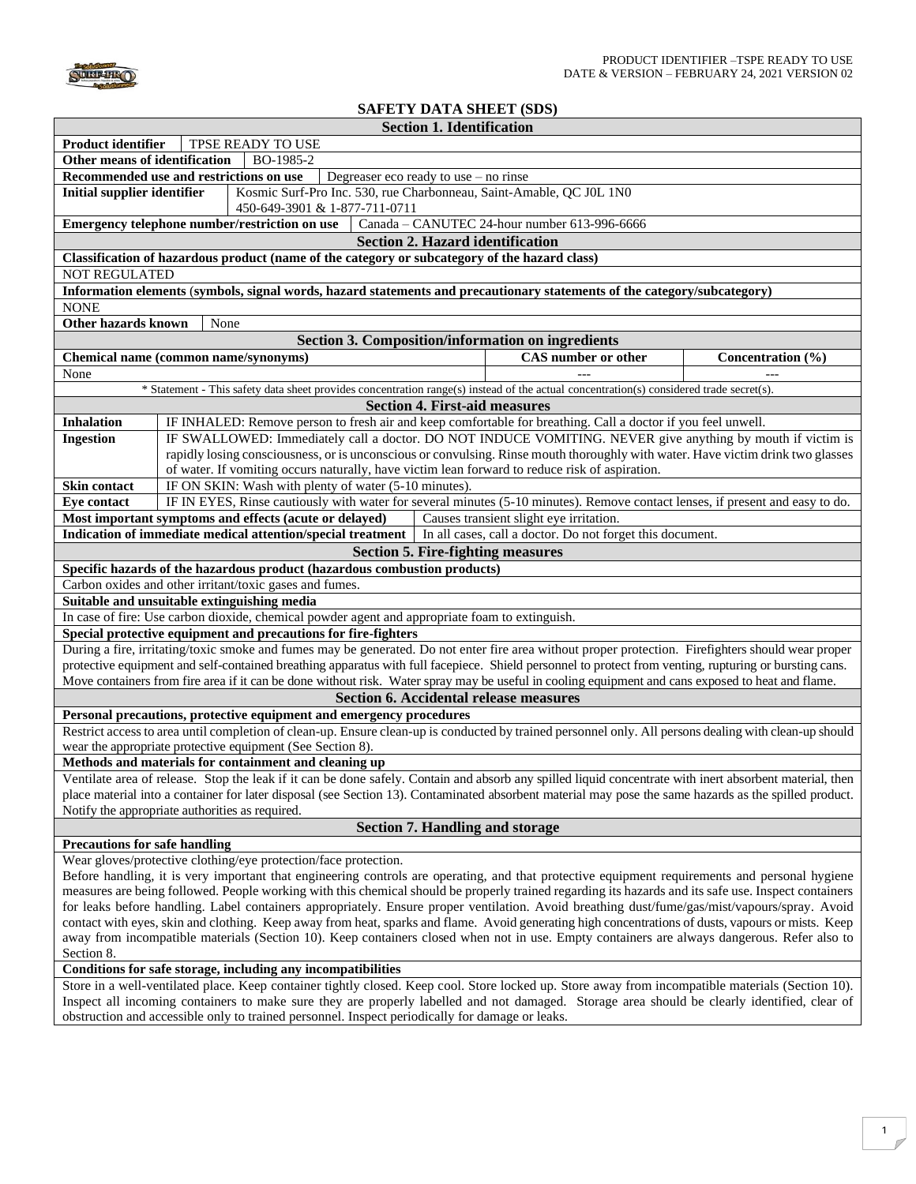

## **SAFETY DATA SHEET (SDS)**

| <b>Section 1. Identification</b>                                                                                                                                                                                                                |                                                                                                                                                                                                                                               |                                              |                   |  |  |
|-------------------------------------------------------------------------------------------------------------------------------------------------------------------------------------------------------------------------------------------------|-----------------------------------------------------------------------------------------------------------------------------------------------------------------------------------------------------------------------------------------------|----------------------------------------------|-------------------|--|--|
| <b>Product identifier</b><br>TPSE READY TO USE                                                                                                                                                                                                  |                                                                                                                                                                                                                                               |                                              |                   |  |  |
| Other means of identification<br>BO-1985-2                                                                                                                                                                                                      |                                                                                                                                                                                                                                               |                                              |                   |  |  |
| Recommended use and restrictions on use<br>Degreaser eco ready to use $-$ no rinse                                                                                                                                                              |                                                                                                                                                                                                                                               |                                              |                   |  |  |
| Kosmic Surf-Pro Inc. 530, rue Charbonneau, Saint-Amable, QC J0L 1N0<br><b>Initial supplier identifier</b>                                                                                                                                       |                                                                                                                                                                                                                                               |                                              |                   |  |  |
| 450-649-3901 & 1-877-711-0711                                                                                                                                                                                                                   |                                                                                                                                                                                                                                               |                                              |                   |  |  |
|                                                                                                                                                                                                                                                 | Emergency telephone number/restriction on use                                                                                                                                                                                                 | Canada - CANUTEC 24-hour number 613-996-6666 |                   |  |  |
|                                                                                                                                                                                                                                                 | <b>Section 2. Hazard identification</b>                                                                                                                                                                                                       |                                              |                   |  |  |
|                                                                                                                                                                                                                                                 | Classification of hazardous product (name of the category or subcategory of the hazard class)                                                                                                                                                 |                                              |                   |  |  |
| <b>NOT REGULATED</b>                                                                                                                                                                                                                            |                                                                                                                                                                                                                                               |                                              |                   |  |  |
| Information elements (symbols, signal words, hazard statements and precautionary statements of the category/subcategory)                                                                                                                        |                                                                                                                                                                                                                                               |                                              |                   |  |  |
| <b>NONE</b>                                                                                                                                                                                                                                     |                                                                                                                                                                                                                                               |                                              |                   |  |  |
| <b>Other hazards known</b>                                                                                                                                                                                                                      | None                                                                                                                                                                                                                                          |                                              |                   |  |  |
|                                                                                                                                                                                                                                                 | Section 3. Composition/information on ingredients                                                                                                                                                                                             |                                              |                   |  |  |
|                                                                                                                                                                                                                                                 |                                                                                                                                                                                                                                               | CAS number or other                          |                   |  |  |
| Chemical name (common name/synonyms)                                                                                                                                                                                                            |                                                                                                                                                                                                                                               |                                              | Concentration (%) |  |  |
| None                                                                                                                                                                                                                                            |                                                                                                                                                                                                                                               |                                              |                   |  |  |
|                                                                                                                                                                                                                                                 | * Statement - This safety data sheet provides concentration range(s) instead of the actual concentration(s) considered trade secret(s).                                                                                                       |                                              |                   |  |  |
| <b>Section 4. First-aid measures</b>                                                                                                                                                                                                            |                                                                                                                                                                                                                                               |                                              |                   |  |  |
| <b>Inhalation</b>                                                                                                                                                                                                                               | IF INHALED: Remove person to fresh air and keep comfortable for breathing. Call a doctor if you feel unwell.                                                                                                                                  |                                              |                   |  |  |
| <b>Ingestion</b>                                                                                                                                                                                                                                | IF SWALLOWED: Immediately call a doctor. DO NOT INDUCE VOMITING. NEVER give anything by mouth if victim is<br>rapidly losing consciousness, or is unconscious or convulsing. Rinse mouth thoroughly with water. Have victim drink two glasses |                                              |                   |  |  |
|                                                                                                                                                                                                                                                 |                                                                                                                                                                                                                                               |                                              |                   |  |  |
|                                                                                                                                                                                                                                                 | of water. If vomiting occurs naturally, have victim lean forward to reduce risk of aspiration.                                                                                                                                                |                                              |                   |  |  |
| <b>Skin contact</b>                                                                                                                                                                                                                             | IF ON SKIN: Wash with plenty of water (5-10 minutes).                                                                                                                                                                                         |                                              |                   |  |  |
| <b>Eye contact</b>                                                                                                                                                                                                                              | IF IN EYES, Rinse cautiously with water for several minutes (5-10 minutes). Remove contact lenses, if present and easy to do.                                                                                                                 |                                              |                   |  |  |
|                                                                                                                                                                                                                                                 | Most important symptoms and effects (acute or delayed)                                                                                                                                                                                        | Causes transient slight eye irritation.      |                   |  |  |
|                                                                                                                                                                                                                                                 | Indication of immediate medical attention/special treatment   In all cases, call a doctor. Do not forget this document.                                                                                                                       |                                              |                   |  |  |
|                                                                                                                                                                                                                                                 | <b>Section 5. Fire-fighting measures</b>                                                                                                                                                                                                      |                                              |                   |  |  |
|                                                                                                                                                                                                                                                 | Specific hazards of the hazardous product (hazardous combustion products)                                                                                                                                                                     |                                              |                   |  |  |
|                                                                                                                                                                                                                                                 | Carbon oxides and other irritant/toxic gases and fumes.                                                                                                                                                                                       |                                              |                   |  |  |
| Suitable and unsuitable extinguishing media                                                                                                                                                                                                     |                                                                                                                                                                                                                                               |                                              |                   |  |  |
| In case of fire: Use carbon dioxide, chemical powder agent and appropriate foam to extinguish.                                                                                                                                                  |                                                                                                                                                                                                                                               |                                              |                   |  |  |
| Special protective equipment and precautions for fire-fighters                                                                                                                                                                                  |                                                                                                                                                                                                                                               |                                              |                   |  |  |
| During a fire, irritating/toxic smoke and fumes may be generated. Do not enter fire area without proper protection. Firefighters should wear proper                                                                                             |                                                                                                                                                                                                                                               |                                              |                   |  |  |
| protective equipment and self-contained breathing apparatus with full facepiece. Shield personnel to protect from venting, rupturing or bursting cans.                                                                                          |                                                                                                                                                                                                                                               |                                              |                   |  |  |
|                                                                                                                                                                                                                                                 | Move containers from fire area if it can be done without risk. Water spray may be useful in cooling equipment and cans exposed to heat and flame.                                                                                             |                                              |                   |  |  |
| <b>Section 6. Accidental release measures</b>                                                                                                                                                                                                   |                                                                                                                                                                                                                                               |                                              |                   |  |  |
| Personal precautions, protective equipment and emergency procedures                                                                                                                                                                             |                                                                                                                                                                                                                                               |                                              |                   |  |  |
| Restrict access to area until completion of clean-up. Ensure clean-up is conducted by trained personnel only. All persons dealing with clean-up should                                                                                          |                                                                                                                                                                                                                                               |                                              |                   |  |  |
| wear the appropriate protective equipment (See Section 8).                                                                                                                                                                                      |                                                                                                                                                                                                                                               |                                              |                   |  |  |
| Methods and materials for containment and cleaning up                                                                                                                                                                                           |                                                                                                                                                                                                                                               |                                              |                   |  |  |
| Ventilate area of release. Stop the leak if it can be done safely. Contain and absorb any spilled liquid concentrate with inert absorbent material, then                                                                                        |                                                                                                                                                                                                                                               |                                              |                   |  |  |
| place material into a container for later disposal (see Section 13). Contaminated absorbent material may pose the same hazards as the spilled product.                                                                                          |                                                                                                                                                                                                                                               |                                              |                   |  |  |
| Notify the appropriate authorities as required.                                                                                                                                                                                                 |                                                                                                                                                                                                                                               |                                              |                   |  |  |
| <b>Section 7. Handling and storage</b>                                                                                                                                                                                                          |                                                                                                                                                                                                                                               |                                              |                   |  |  |
| <b>Precautions for safe handling</b>                                                                                                                                                                                                            |                                                                                                                                                                                                                                               |                                              |                   |  |  |
| Wear gloves/protective clothing/eye protection/face protection.                                                                                                                                                                                 |                                                                                                                                                                                                                                               |                                              |                   |  |  |
| Before handling, it is very important that engineering controls are operating, and that protective equipment requirements and personal hygiene                                                                                                  |                                                                                                                                                                                                                                               |                                              |                   |  |  |
| measures are being followed. People working with this chemical should be properly trained regarding its hazards and its safe use. Inspect containers                                                                                            |                                                                                                                                                                                                                                               |                                              |                   |  |  |
| for leaks before handling. Label containers appropriately. Ensure proper ventilation. Avoid breathing dust/fume/gas/mist/vapours/spray. Avoid                                                                                                   |                                                                                                                                                                                                                                               |                                              |                   |  |  |
| contact with eyes, skin and clothing. Keep away from heat, sparks and flame. Avoid generating high concentrations of dusts, vapours or mists. Keep                                                                                              |                                                                                                                                                                                                                                               |                                              |                   |  |  |
| away from incompatible materials (Section 10). Keep containers closed when not in use. Empty containers are always dangerous. Refer also to                                                                                                     |                                                                                                                                                                                                                                               |                                              |                   |  |  |
| Section 8.                                                                                                                                                                                                                                      |                                                                                                                                                                                                                                               |                                              |                   |  |  |
| Conditions for safe storage, including any incompatibilities                                                                                                                                                                                    |                                                                                                                                                                                                                                               |                                              |                   |  |  |
| Store in a well-ventilated place. Keep container tightly closed. Keep cool. Store locked up. Store away from incompatible materials (Section 10).                                                                                               |                                                                                                                                                                                                                                               |                                              |                   |  |  |
| Inspect all incoming containers to make sure they are properly labelled and not damaged. Storage area should be clearly identified, clear of<br>obstruction and accessible only to trained personnel. Inspect periodically for damage or leaks. |                                                                                                                                                                                                                                               |                                              |                   |  |  |
|                                                                                                                                                                                                                                                 |                                                                                                                                                                                                                                               |                                              |                   |  |  |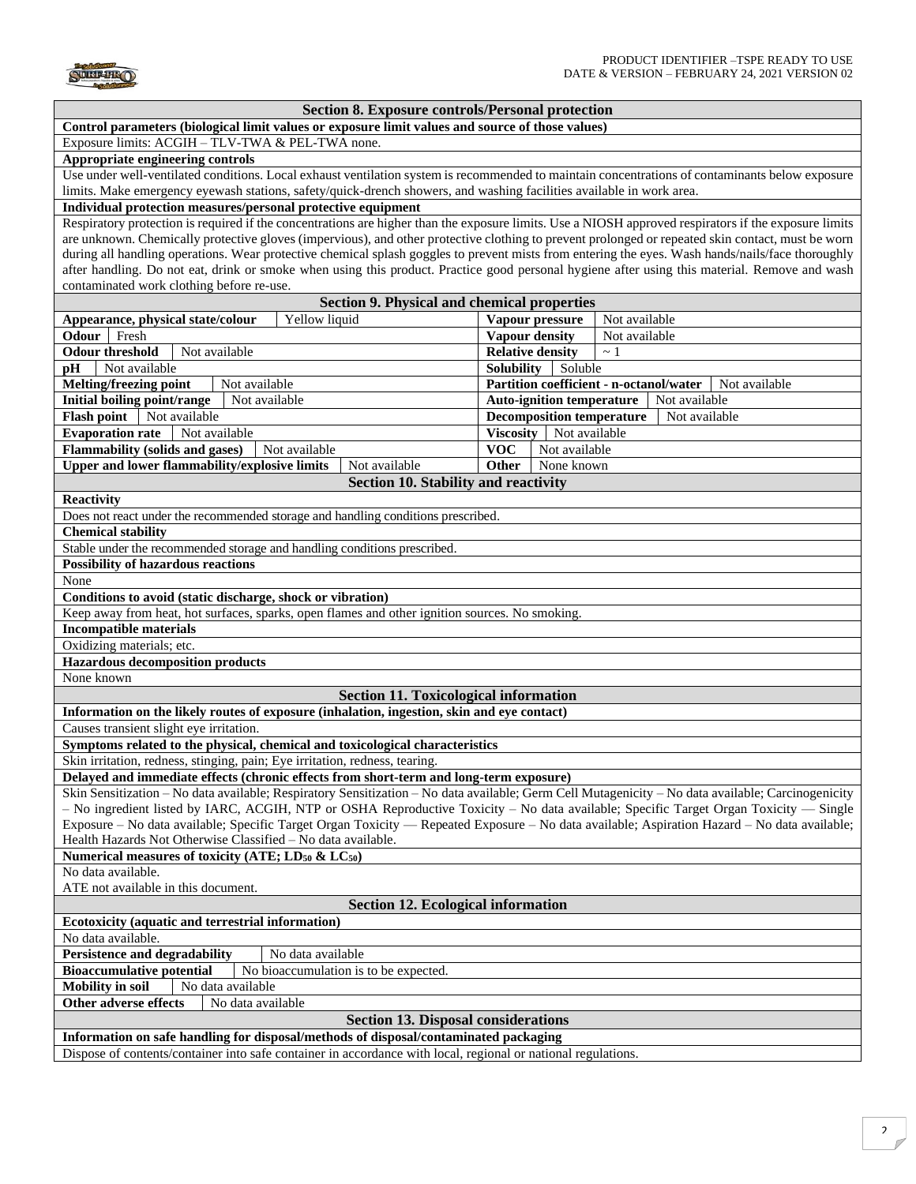

## **Section 8. Exposure controls/Personal protection**

**Control parameters (biological limit values or exposure limit values and source of those values)** 

Exposure limits: ACGIH – TLV-TWA & PEL-TWA none.

## **Appropriate engineering controls**

Use under well-ventilated conditions. Local exhaust ventilation system is recommended to maintain concentrations of contaminants below exposure limits. Make emergency eyewash stations, safety/quick-drench showers, and washing facilities available in work area.

## **Individual protection measures/personal protective equipment**

Respiratory protection is required if the concentrations are higher than the exposure limits. Use a NIOSH approved respirators if the exposure limits are unknown. Chemically protective gloves (impervious), and other protective clothing to prevent prolonged or repeated skin contact, must be worn during all handling operations. Wear protective chemical splash goggles to prevent mists from entering the eyes. Wash hands/nails/face thoroughly after handling. Do not eat, drink or smoke when using this product. Practice good personal hygiene after using this material. Remove and wash contaminated work clothing before re-use.

| Section 9. Physical and chemical properties                                                                                                        |                                                          |               |  |  |  |
|----------------------------------------------------------------------------------------------------------------------------------------------------|----------------------------------------------------------|---------------|--|--|--|
| Yellow liquid<br>Appearance, physical state/colour                                                                                                 | Vapour pressure                                          | Not available |  |  |  |
| Fresh<br>Odour                                                                                                                                     | Vapour density                                           | Not available |  |  |  |
| <b>Odour threshold</b><br>Not available                                                                                                            | <b>Relative density</b>                                  | $\sim 1$      |  |  |  |
| Not available<br>pH                                                                                                                                | <b>Solubility</b><br>Soluble                             |               |  |  |  |
| <b>Melting/freezing point</b><br>Not available                                                                                                     | Partition coefficient - n-octanol/water<br>Not available |               |  |  |  |
| Initial boiling point/range<br>Not available<br>Auto-ignition temperature                                                                          |                                                          | Not available |  |  |  |
| Flash point   Not available                                                                                                                        | <b>Decomposition temperature</b><br>Not available        |               |  |  |  |
| <b>Evaporation rate</b><br>Not available                                                                                                           | <b>Viscosity</b><br>Not available                        |               |  |  |  |
| <b>Flammability (solids and gases)</b><br>Not available                                                                                            | <b>VOC</b><br>Not available                              |               |  |  |  |
| Upper and lower flammability/explosive limits<br>Not available                                                                                     | Other<br>None known                                      |               |  |  |  |
| Section 10. Stability and reactivity                                                                                                               |                                                          |               |  |  |  |
| <b>Reactivity</b>                                                                                                                                  |                                                          |               |  |  |  |
| Does not react under the recommended storage and handling conditions prescribed.                                                                   |                                                          |               |  |  |  |
| <b>Chemical stability</b>                                                                                                                          |                                                          |               |  |  |  |
| Stable under the recommended storage and handling conditions prescribed.                                                                           |                                                          |               |  |  |  |
| <b>Possibility of hazardous reactions</b>                                                                                                          |                                                          |               |  |  |  |
| None                                                                                                                                               |                                                          |               |  |  |  |
| Conditions to avoid (static discharge, shock or vibration)                                                                                         |                                                          |               |  |  |  |
| Keep away from heat, hot surfaces, sparks, open flames and other ignition sources. No smoking.                                                     |                                                          |               |  |  |  |
| <b>Incompatible materials</b>                                                                                                                      |                                                          |               |  |  |  |
| Oxidizing materials; etc.                                                                                                                          |                                                          |               |  |  |  |
| <b>Hazardous decomposition products</b>                                                                                                            |                                                          |               |  |  |  |
| None known                                                                                                                                         |                                                          |               |  |  |  |
| <b>Section 11. Toxicological information</b>                                                                                                       |                                                          |               |  |  |  |
| Information on the likely routes of exposure (inhalation, ingestion, skin and eye contact)                                                         |                                                          |               |  |  |  |
| Causes transient slight eye irritation.                                                                                                            |                                                          |               |  |  |  |
| Symptoms related to the physical, chemical and toxicological characteristics                                                                       |                                                          |               |  |  |  |
| Skin irritation, redness, stinging, pain; Eye irritation, redness, tearing.                                                                        |                                                          |               |  |  |  |
| Delayed and immediate effects (chronic effects from short-term and long-term exposure)                                                             |                                                          |               |  |  |  |
| Skin Sensitization - No data available; Respiratory Sensitization - No data available; Germ Cell Mutagenicity - No data available; Carcinogenicity |                                                          |               |  |  |  |
| - No ingredient listed by IARC, ACGIH, NTP or OSHA Reproductive Toxicity - No data available; Specific Target Organ Toxicity - Single              |                                                          |               |  |  |  |
| Exposure – No data available; Specific Target Organ Toxicity — Repeated Exposure – No data available; Aspiration Hazard – No data available;       |                                                          |               |  |  |  |
| Health Hazards Not Otherwise Classified - No data available.                                                                                       |                                                          |               |  |  |  |
| Numerical measures of toxicity (ATE; LD <sub>50</sub> & LC <sub>50</sub> )                                                                         |                                                          |               |  |  |  |
| No data available.                                                                                                                                 |                                                          |               |  |  |  |
| ATE not available in this document.                                                                                                                |                                                          |               |  |  |  |
| <b>Section 12. Ecological information</b>                                                                                                          |                                                          |               |  |  |  |
| Ecotoxicity (aquatic and terrestrial information)                                                                                                  |                                                          |               |  |  |  |
| No data available.                                                                                                                                 |                                                          |               |  |  |  |
| <b>Persistence and degradability</b><br>No data available                                                                                          |                                                          |               |  |  |  |
| <b>Bioaccumulative potential</b><br>No bioaccumulation is to be expected.                                                                          |                                                          |               |  |  |  |
| <b>Mobility</b> in soil<br>No data available                                                                                                       |                                                          |               |  |  |  |
| <b>Other adverse effects</b><br>No data available                                                                                                  |                                                          |               |  |  |  |
| <b>Section 13. Disposal considerations</b>                                                                                                         |                                                          |               |  |  |  |
| Information on safe handling for disposal/methods of disposal/contaminated packaging                                                               |                                                          |               |  |  |  |
| Dispose of contents/container into safe container in accordance with local, regional or national regulations.                                      |                                                          |               |  |  |  |